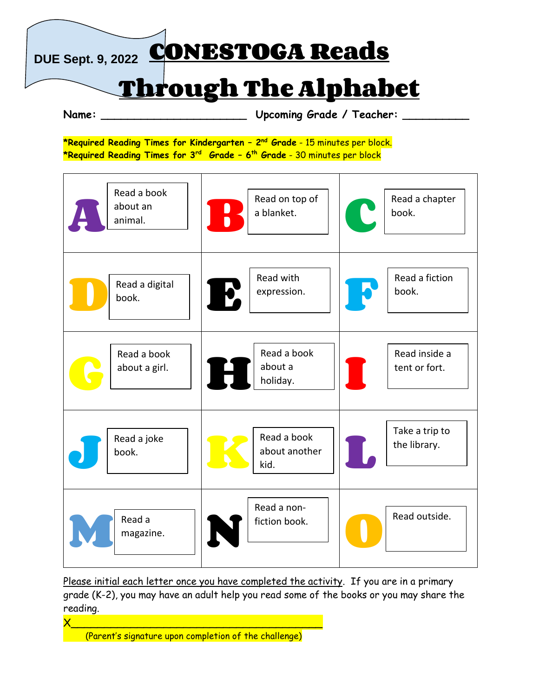**DUE Sept. 9, 2022 CONESTOGA Reads**

## **Through The Alphabet**

**Name: \_\_\_\_\_\_\_\_\_\_\_\_\_\_\_\_\_\_\_\_\_\_ Upcoming Grade / Teacher: \_\_\_\_\_\_\_\_\_\_**

**\*Required Reading Times for Kindergarten – 2 nd Grade** - 15 minutes per block. **\*Required Reading Times for 3rd Grade – 6 th Grade** - 30 minutes per block



Please initial each letter once you have completed the activity. If you are in a primary grade (K-2), you may have an adult help you read some of the books or you may share the reading.

X\_\_\_\_\_\_\_\_\_\_\_\_\_\_\_\_\_\_\_\_\_\_\_\_\_\_\_\_\_\_\_\_\_\_\_\_\_\_ (Parent's signature upon completion of the challenge)